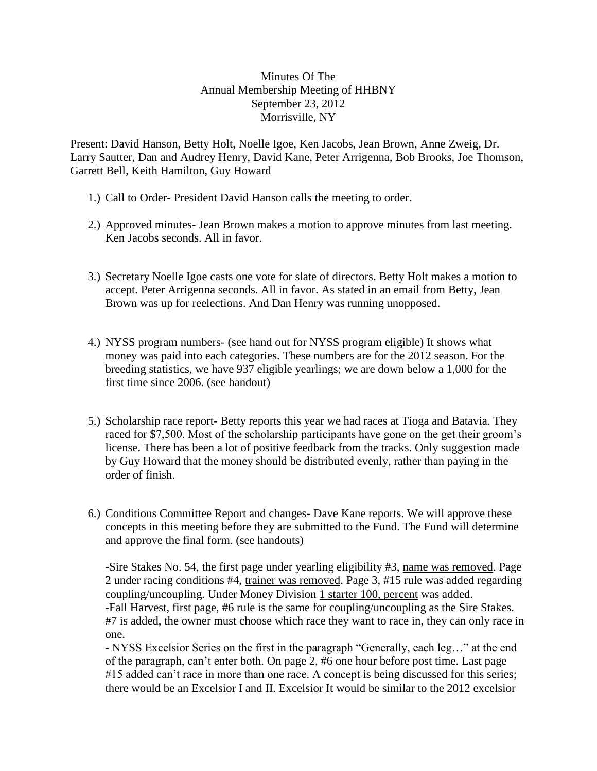## Minutes Of The Annual Membership Meeting of HHBNY September 23, 2012 Morrisville, NY

Present: David Hanson, Betty Holt, Noelle Igoe, Ken Jacobs, Jean Brown, Anne Zweig, Dr. Larry Sautter, Dan and Audrey Henry, David Kane, Peter Arrigenna, Bob Brooks, Joe Thomson, Garrett Bell, Keith Hamilton, Guy Howard

- 1.) Call to Order- President David Hanson calls the meeting to order.
- 2.) Approved minutes- Jean Brown makes a motion to approve minutes from last meeting. Ken Jacobs seconds. All in favor.
- 3.) Secretary Noelle Igoe casts one vote for slate of directors. Betty Holt makes a motion to accept. Peter Arrigenna seconds. All in favor. As stated in an email from Betty, Jean Brown was up for reelections. And Dan Henry was running unopposed.
- 4.) NYSS program numbers- (see hand out for NYSS program eligible) It shows what money was paid into each categories. These numbers are for the 2012 season. For the breeding statistics, we have 937 eligible yearlings; we are down below a 1,000 for the first time since 2006. (see handout)
- 5.) Scholarship race report- Betty reports this year we had races at Tioga and Batavia. They raced for \$7,500. Most of the scholarship participants have gone on the get their groom's license. There has been a lot of positive feedback from the tracks. Only suggestion made by Guy Howard that the money should be distributed evenly, rather than paying in the order of finish.
- 6.) Conditions Committee Report and changes- Dave Kane reports. We will approve these concepts in this meeting before they are submitted to the Fund. The Fund will determine and approve the final form. (see handouts)

-Sire Stakes No. 54, the first page under yearling eligibility #3, name was removed. Page 2 under racing conditions #4, trainer was removed. Page 3, #15 rule was added regarding coupling/uncoupling. Under Money Division 1 starter 100, percent was added. -Fall Harvest, first page, #6 rule is the same for coupling/uncoupling as the Sire Stakes. #7 is added, the owner must choose which race they want to race in, they can only race in one.

- NYSS Excelsior Series on the first in the paragraph "Generally, each leg…" at the end of the paragraph, can't enter both. On page 2, #6 one hour before post time. Last page #15 added can't race in more than one race. A concept is being discussed for this series; there would be an Excelsior I and II. Excelsior It would be similar to the 2012 excelsior